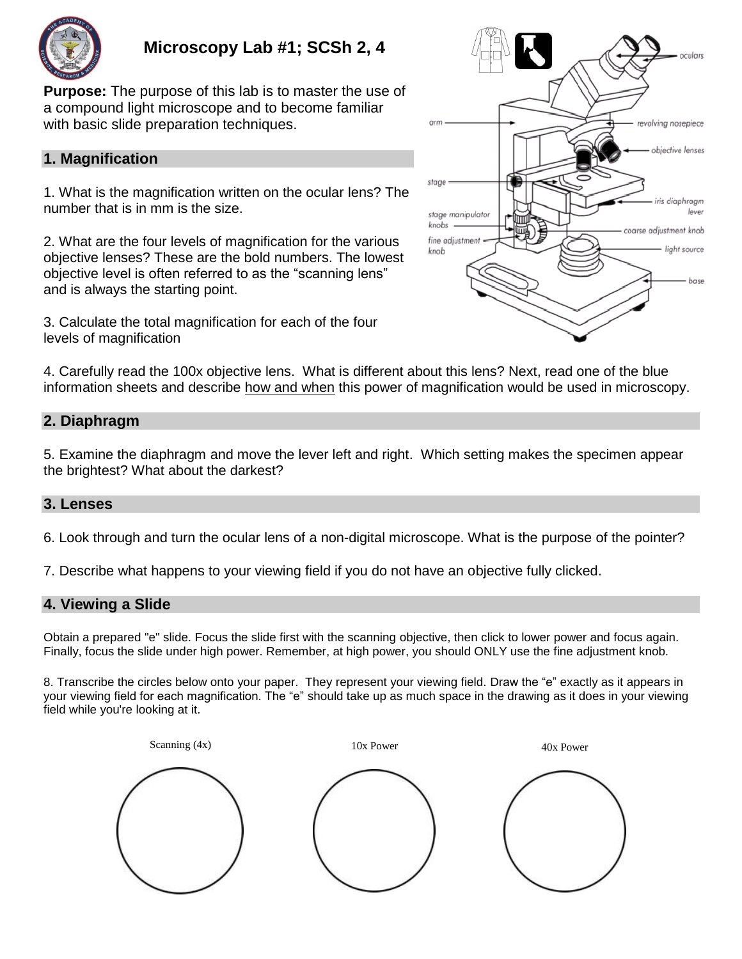

# **Microscopy Lab #1; SCSh 2, 4**

**Purpose:** The purpose of this lab is to master the use of a compound light microscope and to become familiar with basic slide preparation techniques.

# **1. Magnification**

1. What is the magnification written on the ocular lens? The number that is in mm is the size.

2. What are the four levels of magnification for the various objective lenses? These are the bold numbers. The lowest objective level is often referred to as the "scanning lens" and is always the starting point.

3. Calculate the total magnification for each of the four levels of magnification



4. Carefully read the 100x objective lens. What is different about this lens? Next, read one of the blue information sheets and describe how and when this power of magnification would be used in microscopy.

# **2. Diaphragm**

5. Examine the diaphragm and move the lever left and right. Which setting makes the specimen appear the brightest? What about the darkest?

# **3. Lenses**

6. Look through and turn the ocular lens of a non-digital microscope. What is the purpose of the pointer?

7. Describe what happens to your viewing field if you do not have an objective fully clicked.

# **4. Viewing a Slide**

Obtain a prepared "e" slide. Focus the slide first with the scanning objective, then click to lower power and focus again. Finally, focus the slide under high power. Remember, at high power, you should ONLY use the fine adjustment knob.

8. Transcribe the circles below onto your paper. They represent your viewing field. Draw the "e" exactly as it appears in your viewing field for each magnification. The "e" should take up as much space in the drawing as it does in your viewing field while you're looking at it.

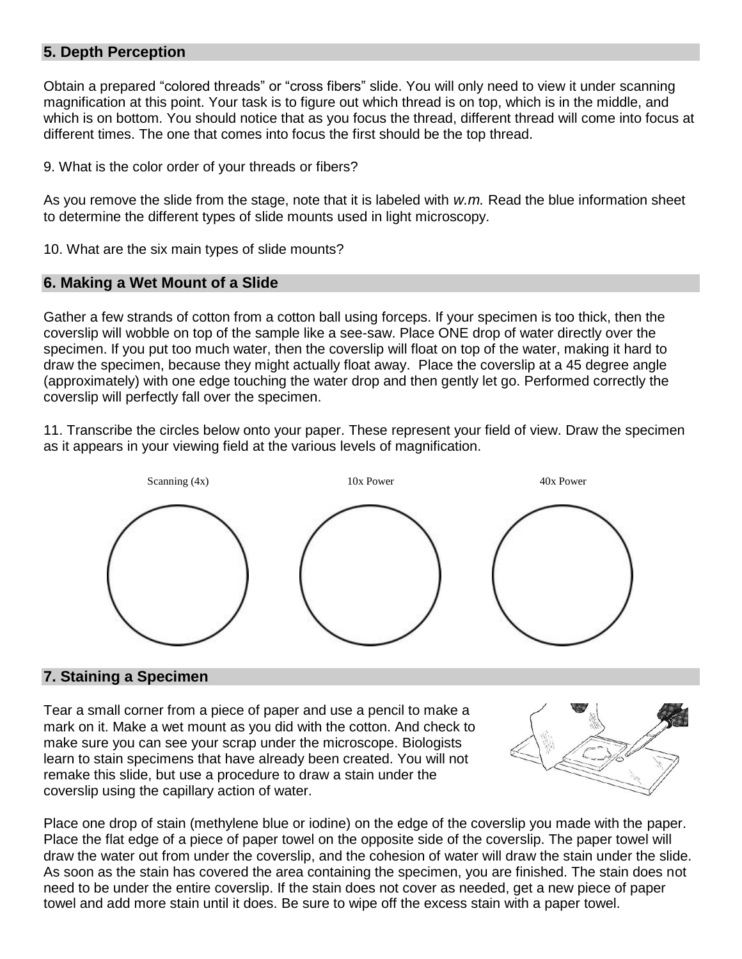# **5. Depth Perception**

Obtain a prepared "colored threads" or "cross fibers" slide. You will only need to view it under scanning magnification at this point. Your task is to figure out which thread is on top, which is in the middle, and which is on bottom. You should notice that as you focus the thread, different thread will come into focus at different times. The one that comes into focus the first should be the top thread.

9. What is the color order of your threads or fibers?

As you remove the slide from the stage, note that it is labeled with *w.m.* Read the blue information sheet to determine the different types of slide mounts used in light microscopy.

10. What are the six main types of slide mounts?

#### **6. Making a Wet Mount of a Slide**

Gather a few strands of cotton from a cotton ball using forceps. If your specimen is too thick, then the coverslip will wobble on top of the sample like a see-saw. Place ONE drop of water directly over the specimen. If you put too much water, then the coverslip will float on top of the water, making it hard to draw the specimen, because they might actually float away. Place the coverslip at a 45 degree angle (approximately) with one edge touching the water drop and then gently let go. Performed correctly the coverslip will perfectly fall over the specimen.

11. Transcribe the circles below onto your paper. These represent your field of view. Draw the specimen as it appears in your viewing field at the various levels of magnification.



#### **7. Staining a Specimen**

Tear a small corner from a piece of paper and use a pencil to make a mark on it. Make a wet mount as you did with the cotton. And check to make sure you can see your scrap under the microscope. Biologists learn to stain specimens that have already been created. You will not remake this slide, but use a procedure to draw a stain under the coverslip using the capillary action of water.



Place one drop of stain (methylene blue or iodine) on the edge of the coverslip you made with the paper. Place the flat edge of a piece of paper towel on the opposite side of the coverslip. The paper towel will draw the water out from under the coverslip, and the cohesion of water will draw the stain under the slide. As soon as the stain has covered the area containing the specimen, you are finished. The stain does not need to be under the entire coverslip. If the stain does not cover as needed, get a new piece of paper towel and add more stain until it does. Be sure to wipe off the excess stain with a paper towel.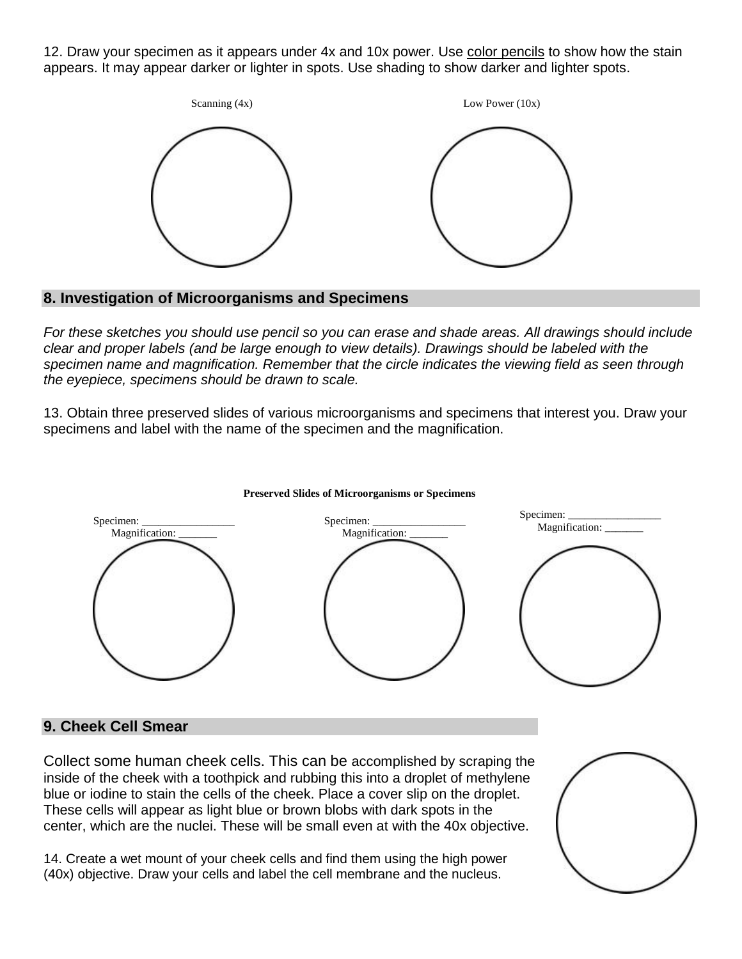12. Draw your specimen as it appears under 4x and 10x power. Use color pencils to show how the stain appears. It may appear darker or lighter in spots. Use shading to show darker and lighter spots.



### **8. Investigation of Microorganisms and Specimens**

*For these sketches you should use pencil so you can erase and shade areas. All drawings should include clear and proper labels (and be large enough to view details). Drawings should be labeled with the specimen name and magnification. Remember that the circle indicates the viewing field as seen through the eyepiece, specimens should be drawn to scale.*

13. Obtain three preserved slides of various microorganisms and specimens that interest you. Draw your specimens and label with the name of the specimen and the magnification.



#### **Preserved Slides of Microorganisms or Specimens**

# **9. Cheek Cell Smear**

Collect some human cheek cells. This can be accomplished by scraping the inside of the cheek with a toothpick and rubbing this into a droplet of methylene blue or iodine to stain the cells of the cheek. Place a cover slip on the droplet. These cells will appear as light blue or brown blobs with dark spots in the center, which are the nuclei. These will be small even at with the 40x objective.

14. Create a wet mount of your cheek cells and find them using the high power (40x) objective. Draw your cells and label the cell membrane and the nucleus.